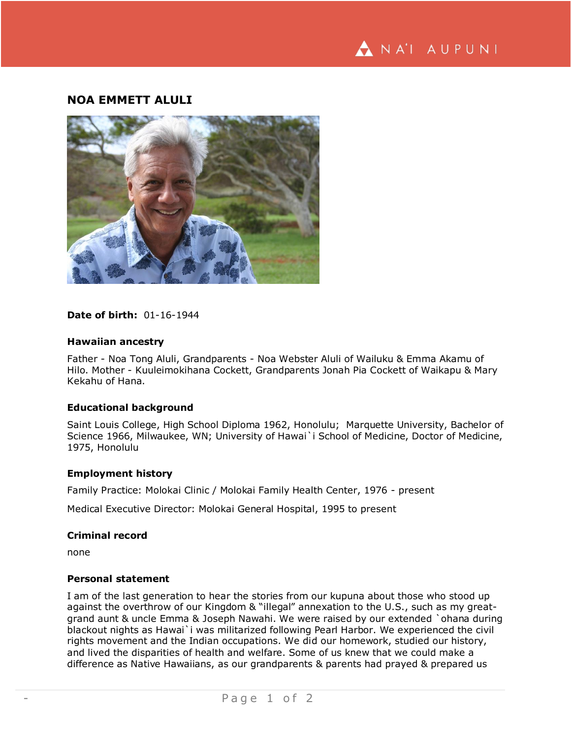# **NOA EMMETT ALULI**



#### **Date of birth:** 01-16-1944

#### **Hawaiian ancestry**

Father - Noa Tong Aluli, Grandparents - Noa Webster Aluli of Wailuku & Emma Akamu of Hilo. Mother - Kuuleimokihana Cockett, Grandparents Jonah Pia Cockett of Waikapu & Mary Kekahu of Hana.

#### **Educational background**

Saint Louis College, High School Diploma 1962, Honolulu; Marquette University, Bachelor of Science 1966, Milwaukee, WN; University of Hawai`i School of Medicine, Doctor of Medicine, 1975, Honolulu

#### **Employment history**

Family Practice: Molokai Clinic / Molokai Family Health Center, 1976 - present

Medical Executive Director: Molokai General Hospital, 1995 to present

#### **Criminal record**

none

## **Personal statement**

I am of the last generation to hear the stories from our kupuna about those who stood up against the overthrow of our Kingdom & "illegal" annexation to the U.S., such as my greatgrand aunt & uncle Emma & Joseph Nawahi. We were raised by our extended `ohana during blackout nights as Hawai`i was militarized following Pearl Harbor. We experienced the civil rights movement and the Indian occupations. We did our homework, studied our history, and lived the disparities of health and welfare. Some of us knew that we could make a difference as Native Hawaiians, as our grandparents & parents had prayed & prepared us